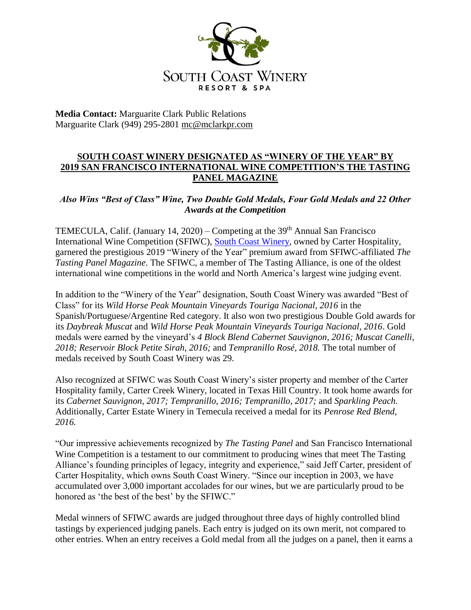

**Media Contact:** Marguarite Clark Public Relations Marguarite Clark (949) 295-2801 [mc@mclarkpr.com](mailto:mc@mclarkpr.com)

## **SOUTH COAST WINERY DESIGNATED AS "WINERY OF THE YEAR" BY 2019 SAN FRANCISCO INTERNATIONAL WINE COMPETITION'S THE TASTING PANEL MAGAZINE**

## *Also Wins "Best of Class" Wine, Two Double Gold Medals, Four Gold Medals and 22 Other Awards at the Competition*

TEMECULA, Calif. (January 14, 2020) – Competing at the  $39<sup>th</sup>$  Annual San Francisco International Wine Competition (SFIWC), [South Coast Winery,](http://www.southcoastwinery.com/) owned by Carter Hospitality, garnered the prestigious 2019 "Winery of the Year" premium award from SFIWC-affiliated *The Tasting Panel Magazine*. The SFIWC, a member of The Tasting Alliance, is one of the oldest international wine competitions in the world and North America's largest wine judging event.

In addition to the "Winery of the Year" designation, South Coast Winery was awarded "Best of Class" for its *Wild Horse Peak Mountain Vineyards Touriga Nacional, 2016* in the Spanish/Portuguese/Argentine Red category. It also won two prestigious Double Gold awards for its *Daybreak Muscat* and *Wild Horse Peak Mountain Vineyards Touriga Nacional, 2016*. Gold medals were earned by the vineyard's *4 Block Blend Cabernet Sauvignon, 2016; Muscat Canelli, 2018; Reservoir Block Petite Sirah, 2016;* and *Tempranillo Rosé, 2018.* The total number of medals received by South Coast Winery was 29.

Also recognized at SFIWC was South Coast Winery's sister property and member of the Carter Hospitality family, Carter Creek Winery, located in Texas Hill Country. It took home awards for its *Cabernet Sauvignon, 2017; Tempranillo, 2016; Tempranillo, 2017;* and *Sparkling Peach.* Additionally, Carter Estate Winery in Temecula received a medal for its *Penrose Red Blend, 2016.*

"Our impressive achievements recognized by *The Tasting Panel* and San Francisco International Wine Competition is a testament to our commitment to producing wines that meet The Tasting Alliance's founding principles of legacy, integrity and experience," said Jeff Carter, president of Carter Hospitality, which owns South Coast Winery. "Since our inception in 2003, we have accumulated over 3,000 important accolades for our wines, but we are particularly proud to be honored as 'the best of the best' by the SFIWC."

Medal winners of SFIWC awards are judged throughout three days of highly controlled blind tastings by experienced judging panels. Each entry is judged on its own merit, not compared to other entries. When an entry receives a Gold medal from all the judges on a panel, then it earns a